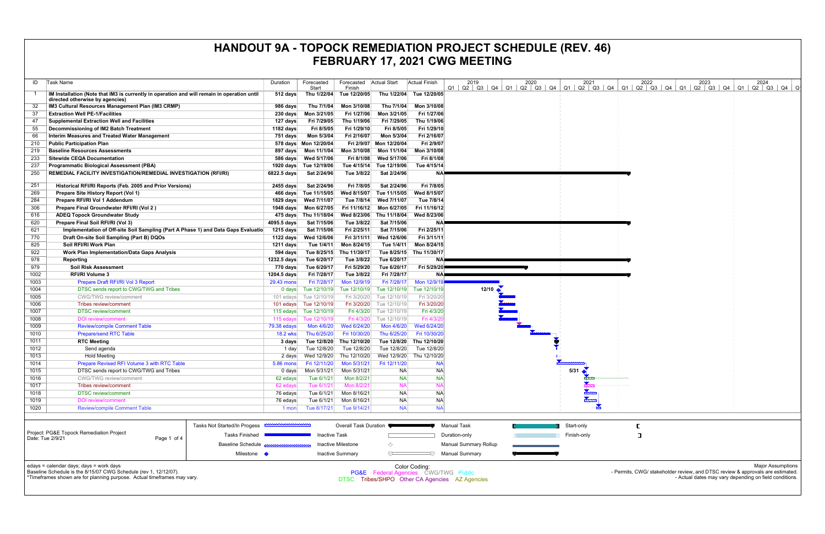|                                                                                                                                                                                        |                  |                            |                           |                                      | .                           |                                                                                                                                                                                      |      |                  |      |                                                                                |                                                                                    |
|----------------------------------------------------------------------------------------------------------------------------------------------------------------------------------------|------------------|----------------------------|---------------------------|--------------------------------------|-----------------------------|--------------------------------------------------------------------------------------------------------------------------------------------------------------------------------------|------|------------------|------|--------------------------------------------------------------------------------|------------------------------------------------------------------------------------|
| ID<br>Task Name                                                                                                                                                                        | Duration         | Forecasted<br>Start        | Forecasted<br>Finish      | <b>Actual Start</b>                  | <b>Actual Finish</b>        | 2019<br>$Q1$   $Q2$   $Q3$   $Q4$   $Q1$   $Q2$   $Q3$   $Q4$   $Q1$   $Q2$   $Q3$   $Q4$   $Q1$   $Q2$   $Q3$   $Q4$   $Q1$   $Q2$   $Q3$   $Q4$   $Q1$   $Q2$   $Q3$   $Q4$   $Q1$ | 2020 | 2021             | 2022 | 2023                                                                           | 2024                                                                               |
| IM Installation (Note that IM3 is currently in operation and will remain in operation until<br>directed otherwise by agencies)                                                         | 512 days         |                            | Thu 1/22/04 Tue 12/20/05  |                                      | Thu 1/22/04 Tue 12/20/05    |                                                                                                                                                                                      |      |                  |      |                                                                                |                                                                                    |
| IM3 Cultural Resources Management Plan (IM3 CRMP)                                                                                                                                      | 986 days         | Thu 7/1/04                 | Mon 3/10/08               | Thu 7/1/04                           | Mon 3/10/08                 |                                                                                                                                                                                      |      |                  |      |                                                                                |                                                                                    |
| 37<br><b>Extraction Well PE-1/Facilities</b>                                                                                                                                           | 230 days         | Mon 3/21/05                | Fri 1/27/06               | Mon 3/21/05                          | Fri 1/27/06                 |                                                                                                                                                                                      |      |                  |      |                                                                                |                                                                                    |
| <b>Supplemental Extraction Well and Facilities</b><br>47                                                                                                                               | 127 days         | Fri 7/29/05                | Thu 1/19/06               | Fri 7/29/05                          | Thu 1/19/06                 |                                                                                                                                                                                      |      |                  |      |                                                                                |                                                                                    |
| Decommissioning of IM2 Batch Treatment<br>55                                                                                                                                           | 1182 days        | Fri 8/5/05                 | Fri 1/29/10               | Fri 8/5/05                           | Fri 1/29/10                 |                                                                                                                                                                                      |      |                  |      |                                                                                |                                                                                    |
| 66<br>Interim Measures and Treated Water Management                                                                                                                                    | 751 days         | Mon 5/3/04                 | Fri 2/16/07               | Mon 5/3/04                           | Fri 2/16/07                 |                                                                                                                                                                                      |      |                  |      |                                                                                |                                                                                    |
| <b>Public Participation Plan</b><br>210                                                                                                                                                |                  | 578 days  Mon 12/20/04     |                           | Fri 2/9/07 Mon 12/20/04              | Fri 2/9/07                  |                                                                                                                                                                                      |      |                  |      |                                                                                |                                                                                    |
| <b>Baseline Resources Assessments</b><br>219                                                                                                                                           |                  |                            | Mon 3/10/08               | Mon 11/1/04                          | Mon 3/10/08                 |                                                                                                                                                                                      |      |                  |      |                                                                                |                                                                                    |
| <b>Sitewide CEQA Documentation</b><br>233                                                                                                                                              |                  | 586 days  Wed 5/17/06      |                           | Fri 8/1/08 Wed 5/17/06               | Fri 8/1/08                  |                                                                                                                                                                                      |      |                  |      |                                                                                |                                                                                    |
| <b>Programmatic Biological Assessment (PBA)</b><br>237                                                                                                                                 |                  | 1920 days Tue 12/19/06     | Tue 4/15/14               | Tue 12/19/06                         | Tue 4/15/14                 |                                                                                                                                                                                      |      |                  |      |                                                                                |                                                                                    |
| REMEDIAL FACILITY INVESTIGATION/REMEDIAL INVESTIGATION (RFI/RI)<br>250                                                                                                                 | 6822.5 days      | Sat 2/24/96                | Tue 3/8/22                | Sat 2/24/96                          | ΝA                          |                                                                                                                                                                                      |      |                  |      |                                                                                |                                                                                    |
| Historical RFI/RI Reports (Feb. 2005 and Prior Versions)<br>251                                                                                                                        | 2455 days        | Sat 2/24/96                | Fri 7/8/05                | Sat 2/24/96                          | Fri 7/8/05                  |                                                                                                                                                                                      |      |                  |      |                                                                                |                                                                                    |
| 269<br>Prepare Site History Report (Vol 1)                                                                                                                                             |                  | 466 days Tue 11/15/05      | Wed 8/15/07               | Tue 11/15/05                         | Wed 8/15/07                 |                                                                                                                                                                                      |      |                  |      |                                                                                |                                                                                    |
| 284<br>Prepare RFI/RI Vol 1 Addendum                                                                                                                                                   |                  | 1829 days Wed 7/11/07      | Tue 7/8/14                | Wed 7/11/07                          | Tue 7/8/14                  |                                                                                                                                                                                      |      |                  |      |                                                                                |                                                                                    |
| Prepare Final Groundwater RFI/RI (Vol 2)<br>306                                                                                                                                        |                  |                            |                           | Fri 11/16/12 Mon 6/27/05             | Fri 11/16/12                |                                                                                                                                                                                      |      |                  |      |                                                                                |                                                                                    |
| <b>ADEQ Topock Groundwater Study</b><br>616                                                                                                                                            |                  | 475 days Thu 11/18/04      |                           | Wed 8/23/06 Thu 11/18/04             | Wed 8/23/06                 |                                                                                                                                                                                      |      |                  |      |                                                                                |                                                                                    |
| Prepare Final Soil RFI/RI (Vol 3)<br>620                                                                                                                                               | 4095.5 days      | Sat 7/15/06                | Tue 3/8/22                | Sat 7/15/06                          | N۵                          |                                                                                                                                                                                      |      |                  |      |                                                                                |                                                                                    |
| Implementation of Off-site Soil Sampling (Part A Phase 1) and Data Gaps Evaluatio<br>621                                                                                               | 1215 days        | Sat 7/15/06                | Fri 2/25/11               | Sat 7/15/06                          | Fri 2/25/11                 |                                                                                                                                                                                      |      |                  |      |                                                                                |                                                                                    |
| 770<br>Draft On-site Soil Sampling (Part B) DQOs                                                                                                                                       | 1122 days        | Wed 12/6/06                | Fri 3/11/11               | Wed 12/6/06                          | Fri 3/11/11                 |                                                                                                                                                                                      |      |                  |      |                                                                                |                                                                                    |
| 825<br>Soil RFI/RI Work Plan                                                                                                                                                           | 1211 days        | Tue 1/4/11                 | Mon 8/24/15               | Tue 1/4/11                           | Mon 8/24/15                 |                                                                                                                                                                                      |      |                  |      |                                                                                |                                                                                    |
| Work Plan Implementation/Data Gaps Analysis<br>922                                                                                                                                     | 594 days         | Tue 8/25/15                | Thu 11/30/17              | Tue 8/25/15                          | Thu 11/30/17                |                                                                                                                                                                                      |      |                  |      |                                                                                |                                                                                    |
| 978<br>Reporting                                                                                                                                                                       | 1232.5 days      | Tue 6/20/17                | Tue 3/8/22                | Tue 6/20/17                          | NA!                         |                                                                                                                                                                                      |      |                  |      |                                                                                |                                                                                    |
| 979<br><b>Soil Risk Assessment</b>                                                                                                                                                     | 770 days         | Tue 6/20/17                | Fri 5/29/20               | Tue 6/20/17                          | Fri 5/29/20                 |                                                                                                                                                                                      |      |                  |      |                                                                                |                                                                                    |
| 1002<br><b>RFI/RI Volume 3</b>                                                                                                                                                         | 1204.5 days      | Fri 7/28/17                | Tue 3/8/22                | Fri 7/28/17                          | <b>NA</b>                   |                                                                                                                                                                                      |      |                  |      |                                                                                |                                                                                    |
| 1003<br>Prepare Draft RFI/RI Vol 3 Report                                                                                                                                              | 29.43 mons       | Fri 7/28/17                | Mon 12/9/19               | Fri 7/28/17                          | Mon 12/9/1                  |                                                                                                                                                                                      |      |                  |      |                                                                                |                                                                                    |
| 1004<br>DTSC sends report to CWG/TWG and Tribes                                                                                                                                        | 0 days           | Tue 12/10/19               | Tue 12/10/19              | Tue 12/10/19                         | Tue 12/10/19                | $12/10$ $\triangle$                                                                                                                                                                  |      |                  |      |                                                                                |                                                                                    |
| <b>CWG/TWG</b> review/comment<br>1005                                                                                                                                                  |                  | 101 edays Tue 12/10/19     |                           | Fri 3/20/20 Tue 12/10/19             | Fri 3/20/20                 |                                                                                                                                                                                      |      |                  |      |                                                                                |                                                                                    |
| 1006<br>Tribes review/comment                                                                                                                                                          |                  | 101 edays Tue 12/10/19     |                           | Fri 3/20/20 Tue 12/10/19             | Fri 3/20/20                 |                                                                                                                                                                                      |      |                  |      |                                                                                |                                                                                    |
| 1007<br><b>DTSC</b> review/comment                                                                                                                                                     |                  | 115 edays Tue 12/10/19     |                           | Fri 4/3/20 Tue 12/10/19              | Fri 4/3/20                  |                                                                                                                                                                                      |      |                  |      |                                                                                |                                                                                    |
| 1008<br><b>DOI</b> review/comment                                                                                                                                                      | $115$ edays      | Tue 12/10/19               | Fri 4/3/20<br>Wed 6/24/20 | Tue 12/10/19<br>Mon 4/6/20           | Fri 4/3/2                   |                                                                                                                                                                                      |      |                  |      |                                                                                |                                                                                    |
| 1009<br><b>Review/compile Comment Table</b><br><b>Prepare/send RTC Table</b>                                                                                                           | 79.38 edays      | Mon 4/6/20<br>Thu 6/25/20  | Fri 10/30/20              | Thu 6/25/20                          | Wed 6/24/20<br>Fri 10/30/20 |                                                                                                                                                                                      |      |                  |      |                                                                                |                                                                                    |
| 1010<br><b>RTC Meeting</b>                                                                                                                                                             | <b>18.2 wks</b>  |                            | Thu 12/10/20              | Tue 12/8/20                          | Thu 12/10/20                |                                                                                                                                                                                      |      |                  |      |                                                                                |                                                                                    |
| 1011<br>1012<br>Send agenda                                                                                                                                                            | 3 days<br>1 day  | Tue 12/8/20<br>Tue 12/8/20 | Tue 12/8/20               | Tue 12/8/20                          | Tue 12/8/20                 |                                                                                                                                                                                      |      |                  |      |                                                                                |                                                                                    |
| 1013<br><b>Hold Meeting</b>                                                                                                                                                            | 2 days           | Wed 12/9/20                | Thu 12/10/20              | Wed 12/9/20                          | Thu 12/10/20                |                                                                                                                                                                                      |      |                  |      |                                                                                |                                                                                    |
| 1014<br><b>Prepare Revised RFI Volume 3 with RTC Table</b>                                                                                                                             | <b>5.86 mons</b> | Fri 12/11/20               | Mon 5/31/21               | Fri 12/11/20                         | <b>NA</b>                   |                                                                                                                                                                                      |      |                  |      |                                                                                |                                                                                    |
| DTSC sends report to CWG/TWG and Tribes<br>1015                                                                                                                                        | 0 days           | Mon 5/31/21                | Mon 5/31/21               | <b>NA</b>                            | NA                          |                                                                                                                                                                                      |      | $5/31$ $\bullet$ |      |                                                                                |                                                                                    |
| 1016<br><b>CWG/TWG</b> review/comment                                                                                                                                                  | 62 edays         | Tue 6/1/21                 | Mon 8/2/21                | <b>NA</b>                            | <b>NA</b>                   |                                                                                                                                                                                      |      |                  |      |                                                                                |                                                                                    |
| 1017<br>Tribes review/comment                                                                                                                                                          | 62 edays         | Tue 6/1/21                 | Mon 8/2/21                | <b>NA</b>                            | <b>NA</b>                   |                                                                                                                                                                                      |      |                  |      |                                                                                |                                                                                    |
| <b>DTSC</b> review/comment<br>1018                                                                                                                                                     | 76 edays         | Tue 6/1/21                 | Mon 8/16/21               | <b>NA</b>                            | <b>NA</b>                   |                                                                                                                                                                                      |      |                  |      |                                                                                |                                                                                    |
| 1019<br><b>DOI</b> review/comment                                                                                                                                                      | 76 edays         | Tue 6/1/21                 | Mon 8/16/21               | <b>NA</b>                            | <b>NA</b>                   |                                                                                                                                                                                      |      |                  |      |                                                                                |                                                                                    |
| 1020<br><b>Review/compile Comment Table</b>                                                                                                                                            | $1$ mon          | Tue 8/17/21                | Tue 9/14/21               | <b>NA</b>                            | <b>NA</b>                   |                                                                                                                                                                                      |      |                  |      |                                                                                |                                                                                    |
| Tasks Not Started/In Progess <b>EXAMPLE</b>                                                                                                                                            |                  |                            | Overall Task Duration ₹   |                                      |                             | Manual Task                                                                                                                                                                          |      | Start-only       |      |                                                                                |                                                                                    |
| Project: PG&E Topock Remediation Project                                                                                                                                               |                  |                            |                           |                                      |                             |                                                                                                                                                                                      |      |                  |      |                                                                                |                                                                                    |
| Tasks Finished<br>Date: Tue 2/9/21<br>Page 1 of 4                                                                                                                                      |                  | <b>Inactive Task</b>       |                           |                                      |                             | Duration-only                                                                                                                                                                        |      | Finish-only      | ा    |                                                                                |                                                                                    |
| <b>Baseline Schedule</b>                                                                                                                                                               |                  |                            | Inactive Milestone        | ◇                                    |                             | <b>Manual Summary Rollup</b>                                                                                                                                                         |      |                  |      |                                                                                |                                                                                    |
| Milestone <                                                                                                                                                                            |                  |                            | <b>Inactive Summary</b>   | $\overline{C}$                       |                             | <b>Manual Summary</b>                                                                                                                                                                |      |                  |      |                                                                                |                                                                                    |
| edays = calendar days; days = work days<br>Baseline Schedule is the 8/15/07 CWG Schedule (rev 1, 12/12/07).<br>*Timeframes shown are for planning purpose. Actual timeframes may vary. |                  |                            |                           | PG&E Federal Agencies CWG/TWG Public | Color Coding:               | DTSC Tribes/SHPO Other CA Agencies AZ Agencies                                                                                                                                       |      |                  |      | - Permits, CWG/ stakeholder review, and DTSC review & approvals are estimated. | <b>Major Assumptions</b><br>- Actual dates may vary depending on field conditions. |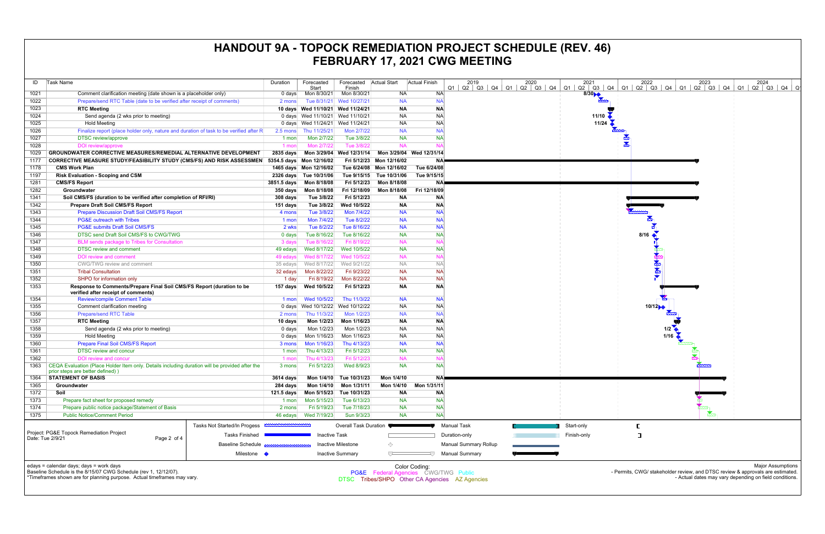| ID               | Task Name                                                                                                                                                                              | Duration                 | Forecasted                        | Forecasted                  | Actual Start                         | Actual Finish            | 2019                                           | 2020                   | 2021                                                                                                                                                                                                                                                                                                                                                |
|------------------|----------------------------------------------------------------------------------------------------------------------------------------------------------------------------------------|--------------------------|-----------------------------------|-----------------------------|--------------------------------------|--------------------------|------------------------------------------------|------------------------|-----------------------------------------------------------------------------------------------------------------------------------------------------------------------------------------------------------------------------------------------------------------------------------------------------------------------------------------------------|
|                  |                                                                                                                                                                                        |                          | Start                             | Finish                      |                                      |                          | Q2   Q3  <br>Q1                                | Q4   Q1   Q2   Q3   Q4 | $Q2$ $Q3$<br>Q1                                                                                                                                                                                                                                                                                                                                     |
| 1021             | Comment clarification meeting (date shown is a placeholder only)                                                                                                                       | 0 days                   | Mon 8/30/21                       | Mon 8/30/21                 | <b>NA</b>                            | <b>NA</b>                |                                                |                        | $\begin{picture}(18,10) \put(0,0){\line(1,0){10}} \put(10,0){\line(1,0){10}} \put(10,0){\line(1,0){10}} \put(10,0){\line(1,0){10}} \put(10,0){\line(1,0){10}} \put(10,0){\line(1,0){10}} \put(10,0){\line(1,0){10}} \put(10,0){\line(1,0){10}} \put(10,0){\line(1,0){10}} \put(10,0){\line(1,0){10}} \put(10,0){\line(1,0){10}} \put(10,0){\line(1$ |
| 1022             | Prepare/send RTC Table (date to be verified after receipt of comments)                                                                                                                 | 2 mons                   | Tue 8/31/21                       | Wed 10/27/21                | <b>NA</b>                            | <b>NA</b>                |                                                |                        |                                                                                                                                                                                                                                                                                                                                                     |
| 1023             | <b>RTC Meeting</b>                                                                                                                                                                     |                          | 10 days Wed 11/10/21 Wed 11/24/21 |                             | <b>NA</b>                            | <b>NA</b>                |                                                |                        |                                                                                                                                                                                                                                                                                                                                                     |
| 1024             | Send agenda (2 wks prior to meeting)                                                                                                                                                   |                          | 0 days Wed 11/10/21               | Wed 11/10/21                | <b>NA</b>                            | <b>NA</b>                |                                                |                        | 11/10                                                                                                                                                                                                                                                                                                                                               |
| 1025             | <b>Hold Meeting</b>                                                                                                                                                                    |                          | 0 days Wed 11/24/21               | Wed 11/24/21                | <b>NA</b>                            | <b>NA</b>                |                                                |                        | 11/24                                                                                                                                                                                                                                                                                                                                               |
| 1026             | Finalize report (place holder only, nature and duration of task to be verified after R                                                                                                 | $2.5 \text{ mon }$       | Thu 11/25/21                      | Mon 2/7/22                  | <b>NA</b>                            | <b>NA</b>                |                                                |                        |                                                                                                                                                                                                                                                                                                                                                     |
| 1027             | <b>DTSC</b> review/approve                                                                                                                                                             | 1 mon                    | Mon 2/7/22                        | Tue 3/8/22                  | <b>NA</b>                            | <b>NA</b>                |                                                |                        |                                                                                                                                                                                                                                                                                                                                                     |
| 1028             | DOI review/approve                                                                                                                                                                     | 1 mon                    | Mon 2/7/22                        | Tue 3/8/22                  | <b>NA</b>                            | <b>NA</b>                |                                                |                        |                                                                                                                                                                                                                                                                                                                                                     |
| 1029             | <b>GROUNDWATER CORRECTIVE MEASURES/REMEDIAL ALTERNATIVE DEVELOPMENT</b>                                                                                                                | 2835 days                | Mon 3/29/04                       | Wed 12/31/14                |                                      | Mon 3/29/04 Wed 12/31/14 |                                                |                        |                                                                                                                                                                                                                                                                                                                                                     |
| 1177             | <b>CORRECTIVE MEASURE STUDY/FEASIBILITY STUDY (CMS/FS) AND RISK ASSESSMEN</b>                                                                                                          |                          | 5354.5 days Mon 12/16/02          |                             | Fri 5/12/23 Mon 12/16/02             |                          | ΝA                                             |                        |                                                                                                                                                                                                                                                                                                                                                     |
| 1178             | <b>CMS Work Plan</b>                                                                                                                                                                   |                          | 1465 days Mon 12/16/02            |                             | Tue 6/24/08 Mon 12/16/02             | Tue 6/24/08              |                                                |                        |                                                                                                                                                                                                                                                                                                                                                     |
| 1197             | <b>Risk Evaluation - Scoping and CSM</b>                                                                                                                                               |                          | 2326 days Tue 10/31/06            |                             | Tue 9/15/15 Tue 10/31/06             | Tue 9/15/15              |                                                |                        |                                                                                                                                                                                                                                                                                                                                                     |
| 1281             | <b>CMS/FS Report</b>                                                                                                                                                                   | 3851.5 days              | Mon 8/18/08                       | Fri 5/12/23                 | Mon 8/18/08                          |                          | ΝA                                             |                        |                                                                                                                                                                                                                                                                                                                                                     |
| 1282             | Groundwater                                                                                                                                                                            | $350 \text{ days}$       | Mon 8/18/08                       | Fri 12/18/09                | Mon 8/18/08                          | Fri 12/18/09             |                                                |                        |                                                                                                                                                                                                                                                                                                                                                     |
| 1341             | Soil CMS/FS (duration to be verified after completion of RFI/RI)                                                                                                                       | 308 days                 | Tue 3/8/22                        | Fri 5/12/23                 | <b>NA</b>                            | <b>NA</b>                |                                                |                        |                                                                                                                                                                                                                                                                                                                                                     |
| 1342             | Prepare Draft Soil CMS/FS Report                                                                                                                                                       | 151 days                 | Tue 3/8/22                        | Wed 10/5/22                 | <b>NA</b>                            | <b>NA</b>                |                                                |                        |                                                                                                                                                                                                                                                                                                                                                     |
| 1343             | <b>Prepare Discussion Draft Soil CMS/FS Report</b>                                                                                                                                     | 4 mons                   | Tue 3/8/22                        | Mon 7/4/22                  | <b>NA</b>                            | <b>NA</b>                |                                                |                        |                                                                                                                                                                                                                                                                                                                                                     |
| 1344             | <b>PG&amp;E outreach with Tribes</b>                                                                                                                                                   | 1 mon                    | Mon 7/4/22                        | Tue 8/2/22                  | <b>NA</b>                            | <b>NA</b>                |                                                |                        |                                                                                                                                                                                                                                                                                                                                                     |
| 1345             | <b>PG&amp;E submits Draft Soil CMS/FS</b>                                                                                                                                              | 2 wks                    | Tue 8/2/22                        | Tue 8/16/22                 | <b>NA</b>                            | <b>NA</b>                |                                                |                        |                                                                                                                                                                                                                                                                                                                                                     |
| 1346             | DTSC send Draft Soil CMS/FS to CWG/TWG                                                                                                                                                 | $0$ days                 | Tue 8/16/22                       | Tue 8/16/22                 | <b>NA</b>                            | <b>NA</b>                |                                                |                        |                                                                                                                                                                                                                                                                                                                                                     |
| 1347             | <b>BLM</b> sends package to Tribes for Consultation                                                                                                                                    | 3 days                   | Tue 8/16/22                       | Fri 8/19/22                 | <b>NA</b>                            | <b>NA</b>                |                                                |                        |                                                                                                                                                                                                                                                                                                                                                     |
| 1348             | <b>DTSC review and comment</b>                                                                                                                                                         | 49 edays                 | Wed 8/17/22                       | Wed 10/5/22                 | <b>NA</b>                            | <b>NA</b>                |                                                |                        |                                                                                                                                                                                                                                                                                                                                                     |
| 1349             | <b>DOI</b> review and comment                                                                                                                                                          | 49 edays                 | Wed 8/17/22                       | Wed 10/5/22                 | <b>NA</b>                            | <b>NA</b>                |                                                |                        |                                                                                                                                                                                                                                                                                                                                                     |
| 1350             | CWG/TWG review and comment                                                                                                                                                             | 35 edays                 | Wed 8/17/22                       | Wed 9/21/22                 | <b>NA</b>                            | <b>NA</b>                |                                                |                        |                                                                                                                                                                                                                                                                                                                                                     |
| 1351             | <b>Tribal Consultation</b>                                                                                                                                                             | 32 edays                 | Mon 8/22/22                       | Fri 9/23/22                 | <b>NA</b>                            | <b>NA</b>                |                                                |                        |                                                                                                                                                                                                                                                                                                                                                     |
| 1352             | SHPO for information only                                                                                                                                                              | 1 day                    | Fri 8/19/22                       | Mon 8/22/22                 | <b>NA</b>                            | <b>NA</b>                |                                                |                        |                                                                                                                                                                                                                                                                                                                                                     |
| 1353             | Response to Comments/Prepare Final Soil CMS/FS Report (duration to be<br>verified after receipt of comments)                                                                           | 157 days                 | Wed 10/5/22                       | Fri 5/12/23                 | <b>NA</b>                            | <b>NA</b>                |                                                |                        |                                                                                                                                                                                                                                                                                                                                                     |
| 1354             | <b>Review/compile Comment Table</b>                                                                                                                                                    | 1 mon                    | Wed 10/5/22                       | Thu 11/3/22                 | <b>NA</b>                            | <b>NA</b>                |                                                |                        |                                                                                                                                                                                                                                                                                                                                                     |
| 1355             | Comment clarification meeting                                                                                                                                                          | 0 days                   | Wed 10/12/22                      | Wed 10/12/22                | <b>NA</b>                            | <b>NA</b>                |                                                |                        |                                                                                                                                                                                                                                                                                                                                                     |
| 1356             | <b>Prepare/send RTC Table</b>                                                                                                                                                          | 2 mons                   | Thu 11/3/22                       | Mon 1/2/23                  | <b>NA</b>                            | <b>NA</b>                |                                                |                        |                                                                                                                                                                                                                                                                                                                                                     |
| 1357             | <b>RTC Meeting</b>                                                                                                                                                                     | 10 days                  | Mon 1/2/23                        | Mon 1/16/23                 | <b>NA</b>                            | <b>NA</b>                |                                                |                        |                                                                                                                                                                                                                                                                                                                                                     |
| 1358             | Send agenda (2 wks prior to meeting)                                                                                                                                                   | $0$ days                 | Mon 1/2/23                        | Mon 1/2/23                  | <b>NA</b>                            | <b>NA</b>                |                                                |                        |                                                                                                                                                                                                                                                                                                                                                     |
| 1359             | <b>Hold Meeting</b>                                                                                                                                                                    | 0 days                   | Mon 1/16/23                       | Mon 1/16/23                 | <b>NA</b>                            | <b>NA</b>                |                                                |                        |                                                                                                                                                                                                                                                                                                                                                     |
| 1360             | <b>Prepare Final Soil CMS/FS Report</b>                                                                                                                                                | 3 mons                   | Mon 1/16/23                       | Thu 4/13/23                 | <b>NA</b>                            | <b>NA</b>                |                                                |                        |                                                                                                                                                                                                                                                                                                                                                     |
| 1361             | <b>DTSC review and concur</b>                                                                                                                                                          | 1 mon                    | Thu 4/13/23                       | Fri 5/12/23                 | <b>NA</b>                            |                          | <b>NA</b>                                      |                        |                                                                                                                                                                                                                                                                                                                                                     |
| 1362             | <b>DOI review and concur</b>                                                                                                                                                           | 1 mon                    | Thu 4/13/23                       | Fri 5/12/23                 | <b>NA</b>                            | <b>NA</b>                |                                                |                        |                                                                                                                                                                                                                                                                                                                                                     |
| 1363             | CEQA Evaluation (Place Holder Item only. Details including duration will be provided after the                                                                                         | 3 mons                   | Fri 5/12/23                       | Wed 8/9/23                  | <b>NA</b>                            | <b>NA</b>                |                                                |                        |                                                                                                                                                                                                                                                                                                                                                     |
| 1364             | prior steps are better defined))<br><b>STATEMENT OF BASIS</b>                                                                                                                          | 3614 days                |                                   |                             | Mon 1/4/10                           |                          | <b>NA</b>                                      |                        |                                                                                                                                                                                                                                                                                                                                                     |
| 1365             |                                                                                                                                                                                        |                          |                                   | Mon 1/4/10 Tue 10/31/23     |                                      | Mon 1/31/11              |                                                |                        |                                                                                                                                                                                                                                                                                                                                                     |
| 1372             | Groundwater<br>Soil                                                                                                                                                                    | 284 days<br>$121.5$ days | Mon 1/4/10<br>Mon 5/15/23         | Mon 1/31/11<br>Tue 10/31/23 | Mon 1/4/10<br><b>NA</b>              | ΝA                       |                                                |                        |                                                                                                                                                                                                                                                                                                                                                     |
| 1373             | Prepare fact sheet for proposed remedy                                                                                                                                                 | 1 mon                    | Mon 5/15/23                       | Tue 6/13/23                 | <b>NA</b>                            | <b>NA</b>                |                                                |                        |                                                                                                                                                                                                                                                                                                                                                     |
| 1374             | Prepare public notice package/Statement of Basis                                                                                                                                       | 2 mons                   | Fri 5/19/23                       | Tue 7/18/23                 | <b>NA</b>                            |                          | <b>NA</b>                                      |                        |                                                                                                                                                                                                                                                                                                                                                     |
| 1375             | <b>Public Notice/Comment Period</b>                                                                                                                                                    | 46 edays                 | Wed 7/19/23                       | Sun 9/3/23                  | <b>NA</b>                            | <b>NA</b>                |                                                |                        |                                                                                                                                                                                                                                                                                                                                                     |
|                  |                                                                                                                                                                                        |                          |                                   |                             |                                      |                          |                                                |                        |                                                                                                                                                                                                                                                                                                                                                     |
|                  | Tasks Not Started/In Progess <b>CONSUMINATIONS</b>                                                                                                                                     |                          |                                   | Overall Task Duration       |                                      |                          | <b>Manual Task</b>                             |                        | Start-only                                                                                                                                                                                                                                                                                                                                          |
| Date: Tue 2/9/21 | Project: PG&E Topock Remediation Project<br><b>Tasks Finished</b><br>Page 2 of 4                                                                                                       |                          | <b>Inactive Task</b>              |                             |                                      |                          | Duration-only                                  |                        | Finish-only                                                                                                                                                                                                                                                                                                                                         |
|                  | <b>Baseline Schedule</b>                                                                                                                                                               |                          |                                   | Inactive Milestone          | ◇                                    |                          | <b>Manual Summary Rollup</b>                   |                        |                                                                                                                                                                                                                                                                                                                                                     |
|                  | Milestone $\blacklozenge$                                                                                                                                                              |                          |                                   | <b>Inactive Summary</b>     | ▽                                    |                          | <b>Manual Summary</b>                          |                        |                                                                                                                                                                                                                                                                                                                                                     |
|                  |                                                                                                                                                                                        |                          |                                   |                             |                                      |                          |                                                |                        |                                                                                                                                                                                                                                                                                                                                                     |
|                  | edays = calendar days; days = work days<br>Baseline Schedule is the 8/15/07 CWG Schedule (rev 1, 12/12/07).<br>*Timeframes shown are for planning purpose. Actual timeframes may vary. |                          |                                   |                             | PG&E Federal Agencies CWG/TWG Public | Color Coding:            | DTSC Tribes/SHPO Other CA Agencies AZ Agencies |                        |                                                                                                                                                                                                                                                                                                                                                     |

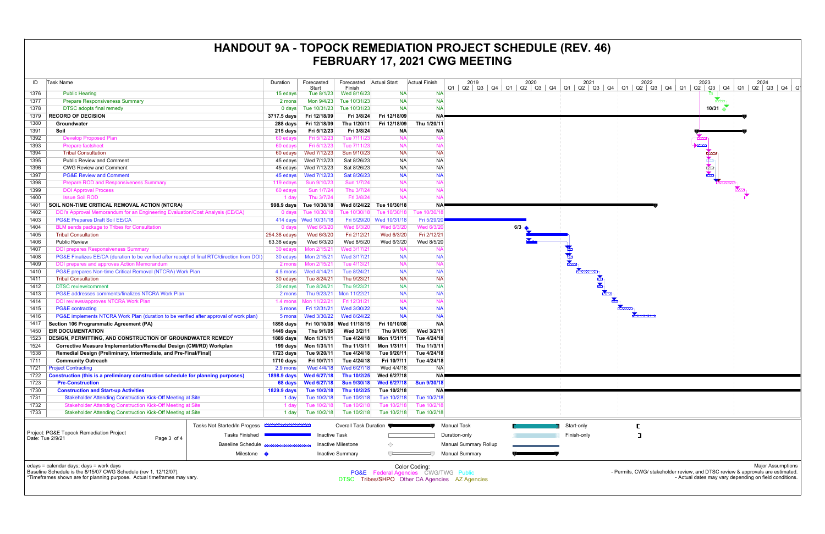| ID   | <b>Task Name</b>                                                                                                                                                                       |                              | Duration            | Forecasted             | Forecasted Actual Start<br>Finish |                                      | Actual Finish | 2019<br>$Q3$ $Q4$<br>Q1<br>Q2                  | 2020<br>$Q1$ $Q2$ $Q3$<br>Q4 | 2021<br>Q1<br>Q2   Q3 |
|------|----------------------------------------------------------------------------------------------------------------------------------------------------------------------------------------|------------------------------|---------------------|------------------------|-----------------------------------|--------------------------------------|---------------|------------------------------------------------|------------------------------|-----------------------|
| 1376 | <b>Public Hearing</b>                                                                                                                                                                  |                              | 15 edays            | Start<br>Tue 8/1/23    | Wed 8/16/23                       | <b>NA</b>                            |               | <b>NA</b>                                      |                              |                       |
| 1377 | <b>Prepare Responsiveness Summary</b>                                                                                                                                                  |                              | 2 mons              | Mon 9/4/23             | Tue 10/31/23                      | <b>NA</b>                            | <b>NA</b>     |                                                |                              |                       |
| 1378 | <b>DTSC</b> adopts final remedy                                                                                                                                                        |                              | $0$ days            | Tue 10/31/23           | Tue 10/31/23                      | <b>NA</b>                            | <b>NA</b>     |                                                |                              |                       |
| 1379 | <b>RECORD OF DECISION</b>                                                                                                                                                              |                              | 3717.5 days         | Fri 12/18/09           | Fri 3/8/24                        | Fri 12/18/09                         | <b>NA</b>     |                                                |                              |                       |
| 1380 | Groundwater                                                                                                                                                                            |                              | 288 days            | Fri 12/18/09           | Thu 1/20/11                       | Fri 12/18/09                         | Thu 1/20/11   |                                                |                              |                       |
| 1391 | Soil                                                                                                                                                                                   |                              | 215 days            | Fri 5/12/23            | Fri 3/8/24                        | <b>NA</b>                            | <b>NA</b>     |                                                |                              |                       |
| 1392 | <b>Develop Proposed Plan</b>                                                                                                                                                           |                              | 60 edays            | Fri 5/12/23            | Tue 7/11/23                       | <b>NA</b>                            | <b>NA</b>     |                                                |                              |                       |
| 1393 | <b>Prepare factsheet</b>                                                                                                                                                               |                              | 60 edays            | Fri 5/12/23            | Tue 7/11/23                       | <b>NA</b>                            | <b>NA</b>     |                                                |                              |                       |
| 1394 | <b>Tribal Consultation</b>                                                                                                                                                             |                              | 60 edays            | Wed 7/12/23            | Sun 9/10/23                       | <b>NA</b>                            | <b>NA</b>     |                                                |                              |                       |
| 1395 | <b>Public Review and Comment</b>                                                                                                                                                       |                              | 45 edays            | Wed 7/12/23            | Sat 8/26/23                       | <b>NA</b>                            | <b>NA</b>     |                                                |                              |                       |
| 1396 | <b>CWG Review and Comment</b>                                                                                                                                                          |                              | 45 edays            | Wed 7/12/23            | Sat 8/26/23                       | <b>NA</b>                            | <b>NA</b>     |                                                |                              |                       |
| 1397 | <b>PG&amp;E Review and Comment</b>                                                                                                                                                     |                              | 45 edays            | Wed 7/12/23            | Sat 8/26/23                       | <b>NA</b>                            | <b>NA</b>     |                                                |                              |                       |
| 1398 | <b>Prepare ROD and Responsiveness Summary</b>                                                                                                                                          |                              | 119 edays           | Sun 9/10/23            | Sun 1/7/24                        | <b>NA</b>                            | <b>NA</b>     |                                                |                              |                       |
| 1399 | <b>DOI Approval Process</b>                                                                                                                                                            |                              | 60 edays            | Sun 1/7/24             | Thu 3/7/24                        | <b>NA</b>                            | <b>NA</b>     |                                                |                              |                       |
| 1400 | <b>Issue Soil ROD</b>                                                                                                                                                                  |                              | 1 day               | Thu 3/7/24             | Fri 3/8/24                        | <b>NA</b>                            | <b>NA</b>     |                                                |                              |                       |
| 1401 | SOIL NON-TIME CRITICAL REMOVAL ACTION (NTCRA)                                                                                                                                          |                              | 998.9 days          | Tue 10/30/18           | Wed 8/24/22                       | Tue 10/30/18                         | <b>NA</b>     |                                                |                              |                       |
| 1402 | DOI's Approval Memorandum for an Engineering Evaluation/Cost Analysis (EE/CA)                                                                                                          |                              | $0$ days            | Tue 10/30/18           | Tue 10/30/18                      | Tue 10/30/18                         | Tue 10/30/1   |                                                |                              |                       |
| 1403 | <b>PG&amp;E Prepares Draft Soil EE/CA</b>                                                                                                                                              |                              |                     | 414 days  Wed 10/31/18 | Fri 5/29/20                       | Wed 10/31/18                         | Fri 5/29/20   |                                                |                              |                       |
| 1404 | <b>BLM sends package to Tribes for Consultation</b>                                                                                                                                    |                              | 0 days              | Wed 6/3/20             | Wed 6/3/20                        | Wed 6/3/20                           | Wed 6/3/20    |                                                | $6/3$ $\bigoplus$            |                       |
| 1405 | <b>Tribal Consultation</b>                                                                                                                                                             |                              | 254.38 edays        | Wed 6/3/20             | Fri 2/12/21                       | Wed 6/3/20                           | Fri 2/12/21   |                                                |                              |                       |
| 1406 | <b>Public Review</b>                                                                                                                                                                   |                              | $63.38$ edays       | Wed 6/3/20             | Wed 8/5/20                        | Wed 6/3/20                           | Wed 8/5/20    |                                                |                              |                       |
| 1407 | <b>DOI prepares Responsiveness Summary</b>                                                                                                                                             |                              | 30 edays            | Mon 2/15/21            | Wed 3/17/21                       | <b>NA</b>                            | <b>NA</b>     |                                                |                              |                       |
| 1408 | PG&E Finalizes EE/CA (duration to be verified after receipt of final RTC/direction from DOI)                                                                                           |                              | 30 edays            | Mon 2/15/21            | Wed 3/17/21                       | <b>NA</b>                            | <b>NA</b>     |                                                |                              |                       |
| 1409 | DOI prepares and approves Action Memorandum                                                                                                                                            |                              | 2 mons              | Mon 2/15/21            | Tue 4/13/21                       | <b>NA</b>                            | <b>NA</b>     |                                                |                              |                       |
| 1410 | PG&E prepares Non-time Critical Removal (NTCRA) Work Plan                                                                                                                              |                              | 4.5 mons            | Wed 4/14/21            | Tue 8/24/21                       | <b>NA</b>                            | <b>NA</b>     |                                                |                              |                       |
| 1411 | <b>Tribal Consultation</b>                                                                                                                                                             |                              | 30 edays            | Tue 8/24/21            | Thu 9/23/21                       | <b>NA</b>                            | <b>NA</b>     |                                                |                              |                       |
| 1412 | <b>DTSC</b> review/comment                                                                                                                                                             |                              | 30 edays            | Tue 8/24/21            | Thu 9/23/21                       | <b>NA</b>                            | <b>NA</b>     |                                                |                              | $\frac{1}{\sqrt{2}}$  |
| 1413 | PG&E addresses comments/finalizes NTCRA Work Plan                                                                                                                                      |                              | 2 mons              | Thu 9/23/21            | Mon 11/22/21                      | <b>NA</b>                            | <b>NA</b>     |                                                |                              |                       |
| 1414 | DOI reviews/approves NTCRA Work Plan                                                                                                                                                   |                              | 1.4 mons            | Mon 11/22/21           | Fri 12/31/21                      | <b>NA</b>                            | <b>NA</b>     |                                                |                              |                       |
| 1415 | <b>PG&amp;E</b> contracting                                                                                                                                                            |                              | 3 mons              | Fri 12/31/21           | Wed 3/30/22                       | <b>NA</b>                            | <b>NA</b>     |                                                |                              |                       |
| 1416 | PG&E implements NTCRA Work Plan (duration to be verified after approval of work plan)                                                                                                  |                              | 5 mons              | Wed 3/30/22            | Wed 8/24/22                       | <b>NA</b>                            | <b>NA</b>     |                                                |                              |                       |
| 1417 | Section 106 Programmatic Agreement (PA)                                                                                                                                                |                              | $1858$ days         | Fri 10/10/08           | Wed 11/18/15                      | Fri 10/10/08                         | <b>NA</b>     |                                                |                              |                       |
| 1450 | <b>EIR DOCUMENTATION</b>                                                                                                                                                               |                              | 1449 days           | Thu 9/1/05             | Wed 3/2/11                        | Thu 9/1/05                           | Wed 3/2/11    |                                                |                              |                       |
| 1523 | DESIGN, PERMITTING, AND CONSTRUCTION OF GROUNDWATER REMEDY                                                                                                                             |                              | 1889 days           | Mon 1/31/11            | Tue 4/24/18                       | Mon 1/31/11                          | Tue 4/24/18   |                                                |                              |                       |
| 1524 | Corrective Measure Implementation/Remedial Design (CMI/RD) Workplan                                                                                                                    |                              | 199 days            | Mon 1/31/11            | Thu 11/3/11                       | Mon 1/31/11                          | Thu 11/3/11   |                                                |                              |                       |
| 1538 | Remedial Design (Preliminary, Intermediate, and Pre-Final/Final)                                                                                                                       |                              | 1723 days           | Tue 9/20/11            | Tue 4/24/18                       | Tue 9/20/11                          | Tue 4/24/18   |                                                |                              |                       |
| 1711 | <b>Community Outreach</b>                                                                                                                                                              |                              | 1710 days           | Fri 10/7/11            | Tue 4/24/18                       | Fri 10/7/11                          | Tue 4/24/18   |                                                |                              |                       |
| 1721 | <b>Project Contracting</b>                                                                                                                                                             |                              | 2.9 mons            | Wed 4/4/18             | Wed 6/27/18                       | Wed 4/4/18                           | <b>NA</b>     |                                                |                              |                       |
| 1722 | Construction (this is a preliminary construction schedule for planning purposes)                                                                                                       |                              | 1898.9 days         | Wed 6/27/18            | Thu 10/2/25                       | Wed 6/27/18                          |               | <b>NA</b>                                      |                              |                       |
| 1723 | <b>Pre-Construction</b>                                                                                                                                                                |                              | 68 days             | <b>Wed 6/27/18</b>     | <b>Sun 9/30/18</b>                | Wed 6/27/18                          | Sun 9/30/18   |                                                |                              |                       |
| 1730 | <b>Construction and Start-up Activities</b>                                                                                                                                            |                              | <b>1829.9 days</b>  | Tue 10/2/18            | Thu 10/2/25                       | Tue 10/2/18                          |               | NA                                             |                              |                       |
| 1731 | <b>Stakeholder Attending Construction Kick-Off Meeting at Site</b>                                                                                                                     |                              | 1 day               | Tue 10/2/18            | Tue 10/2/18                       | Tue 10/2/18                          | Tue 10/2/18   |                                                |                              |                       |
| 1732 | Stakeholder Attending Construction Kick-Off Meeting at Site                                                                                                                            |                              | 1 day               | Tue 10/2/18            | Tue 10/2/18                       | Tue 10/2/18                          | Tue 10/2/18   |                                                |                              |                       |
| 1733 | Stakeholder Attending Construction Kick-Off Meeting at Site                                                                                                                            |                              | 1 day               | Tue 10/2/18            | Tue 10/2/18                       | Tue 10/2/18                          | Tue 10/2/18   |                                                |                              |                       |
|      |                                                                                                                                                                                        |                              |                     |                        |                                   |                                      |               |                                                |                              |                       |
|      |                                                                                                                                                                                        | Tasks Not Started/In Progess | <b>MWWWWWWWWWWW</b> |                        | Overall Task Duration             |                                      |               | <b>Manual Task</b>                             |                              | Start-only            |
|      | Project: PG&E Topock Remediation Project                                                                                                                                               | <b>Tasks Finished</b>        |                     | <b>Inactive Task</b>   |                                   |                                      |               | Duration-only                                  |                              | Finish-only           |
|      | Date: Tue 2/9/21<br>Page 3 of 4                                                                                                                                                        |                              |                     |                        |                                   |                                      |               |                                                |                              |                       |
|      |                                                                                                                                                                                        | <b>Baseline Schedule</b>     |                     |                        | Inactive Milestone                | ◇                                    |               | <b>Manual Summary Rollup</b>                   |                              |                       |
|      |                                                                                                                                                                                        | Milestone $\blacklozenge$    |                     |                        | <b>Inactive Summary</b>           | ▽                                    |               | <b>Manual Summary</b>                          |                              |                       |
|      | edays = calendar days; days = work days<br>Baseline Schedule is the 8/15/07 CWG Schedule (rev 1, 12/12/07).<br>*Timeframes shown are for planning purpose. Actual timeframes may vary. |                              |                     |                        |                                   | PG&E Federal Agencies CWG/TWG Public | Color Coding: | DTSC Tribes/SHPO Other CA Agencies AZ Agencies |                              |                       |